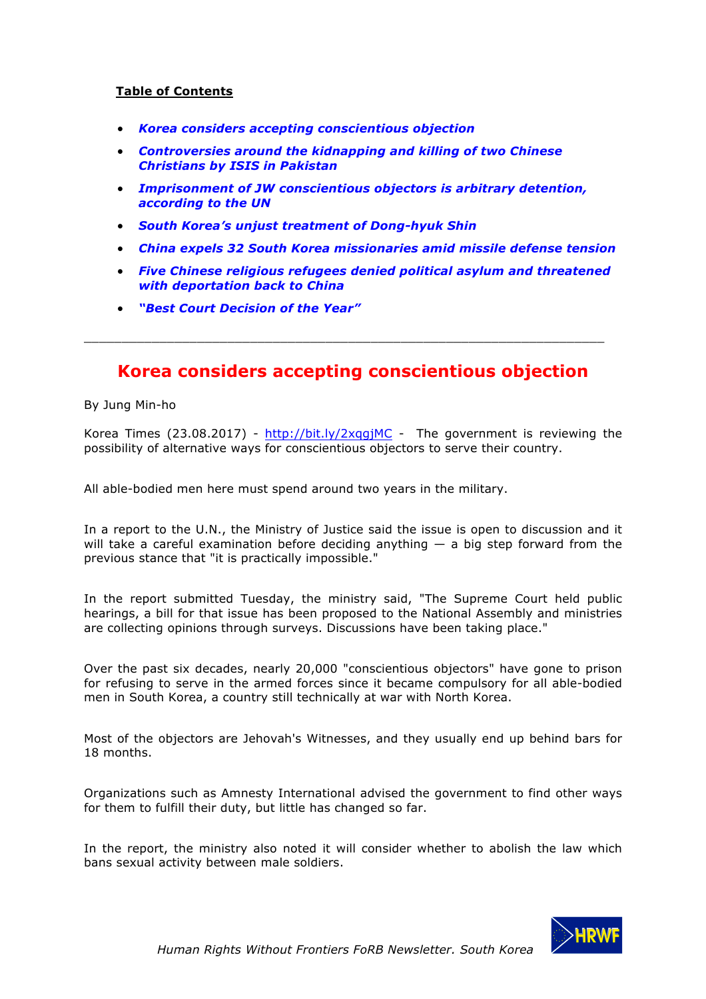## **Table of Contents**

- *Korea considers accepting conscientious objection*
- *Controversies around the kidnapping and killing of two Chinese Christians by ISIS in Pakistan*
- *Imprisonment of JW conscientious objectors is arbitrary detention, according to the UN*
- *South Korea's unjust treatment of Dong-hyuk Shin*
- *China expels 32 South Korea missionaries amid missile defense tension*
- *Five Chinese religious refugees denied political asylum and threatened with deportation back to China*
- *"Best Court Decision of the Year"*

# **Korea considers accepting conscientious objection**

\_\_\_\_\_\_\_\_\_\_\_\_\_\_\_\_\_\_\_\_\_\_\_\_\_\_\_\_\_\_\_\_\_\_\_\_\_\_\_\_\_\_\_\_\_\_\_\_\_\_\_\_\_\_\_\_\_\_\_\_\_\_\_\_\_\_\_\_\_

By Jung Min-ho

Korea Times (23.08.2017) -  $\frac{http://bit.ly/2xqqjMC}{http://bit.ly/2xqqjMC}$  - The government is reviewing the possibility of alternative ways for conscientious objectors to serve their country.

All able-bodied men here must spend around two years in the military.

In a report to the U.N., the Ministry of Justice said the issue is open to discussion and it will take a careful examination before deciding anything  $-$  a big step forward from the previous stance that "it is practically impossible."

In the report submitted Tuesday, the ministry said, "The Supreme Court held public hearings, a bill for that issue has been proposed to the National Assembly and ministries are collecting opinions through surveys. Discussions have been taking place."

Over the past six decades, nearly 20,000 "conscientious objectors" have gone to prison for refusing to serve in the armed forces since it became compulsory for all able-bodied men in South Korea, a country still technically at war with North Korea.

Most of the objectors are Jehovah's Witnesses, and they usually end up behind bars for 18 months.

Organizations such as Amnesty International advised the government to find other ways for them to fulfill their duty, but little has changed so far.

In the report, the ministry also noted it will consider whether to abolish the law which bans sexual activity between male soldiers.

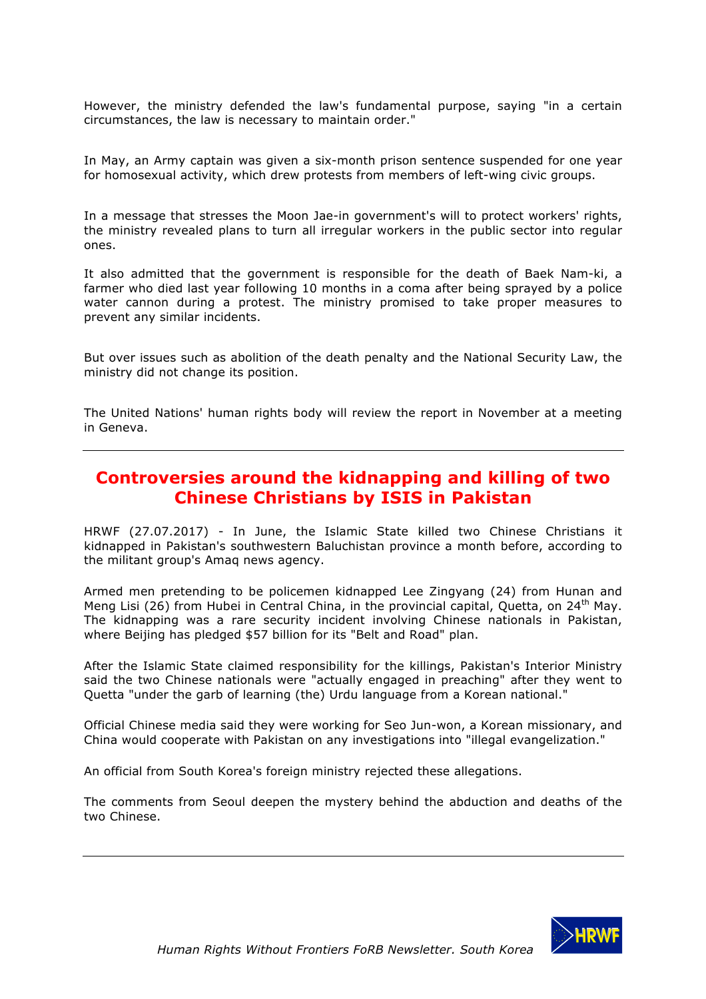However, the ministry defended the law's fundamental purpose, saying "in a certain circumstances, the law is necessary to maintain order."

In May, an Army captain was given a six-month prison sentence suspended for one year for homosexual activity, which drew protests from members of left-wing civic groups.

In a message that stresses the Moon Jae-in government's will to protect workers' rights, the ministry revealed plans to turn all irregular workers in the public sector into regular ones.

It also admitted that the government is responsible for the death of Baek Nam-ki, a farmer who died last year following 10 months in a coma after being sprayed by a police water cannon during a protest. The ministry promised to take proper measures to prevent any similar incidents.

But over issues such as abolition of the death penalty and the National Security Law, the ministry did not change its position.

The United Nations' human rights body will review the report in November at a meeting in Geneva.

# **Controversies around the kidnapping and killing of two Chinese Christians by ISIS in Pakistan**

HRWF (27.07.2017) - In June, the Islamic State killed two Chinese Christians it kidnapped in Pakistan's southwestern Baluchistan province a month before, according to the militant group's Amaq news agency.

Armed men pretending to be policemen kidnapped Lee Zingyang (24) from Hunan and Meng Lisi (26) from Hubei in Central China, in the provincial capital, Quetta, on 24<sup>th</sup> May. The kidnapping was a rare security incident involving Chinese nationals in Pakistan, where Beijing has pledged \$57 billion for its "Belt and Road" plan.

After the Islamic State claimed responsibility for the killings, Pakistan's Interior Ministry said the two Chinese nationals were "actually engaged in preaching" after they went to Quetta "under the garb of learning (the) Urdu language from a Korean national."

Official Chinese media said they were working for Seo Jun-won, a Korean missionary, and China would cooperate with Pakistan on any investigations into "illegal evangelization."

An official from South Korea's foreign ministry rejected these allegations.

The comments from Seoul deepen the mystery behind the abduction and deaths of the two Chinese.

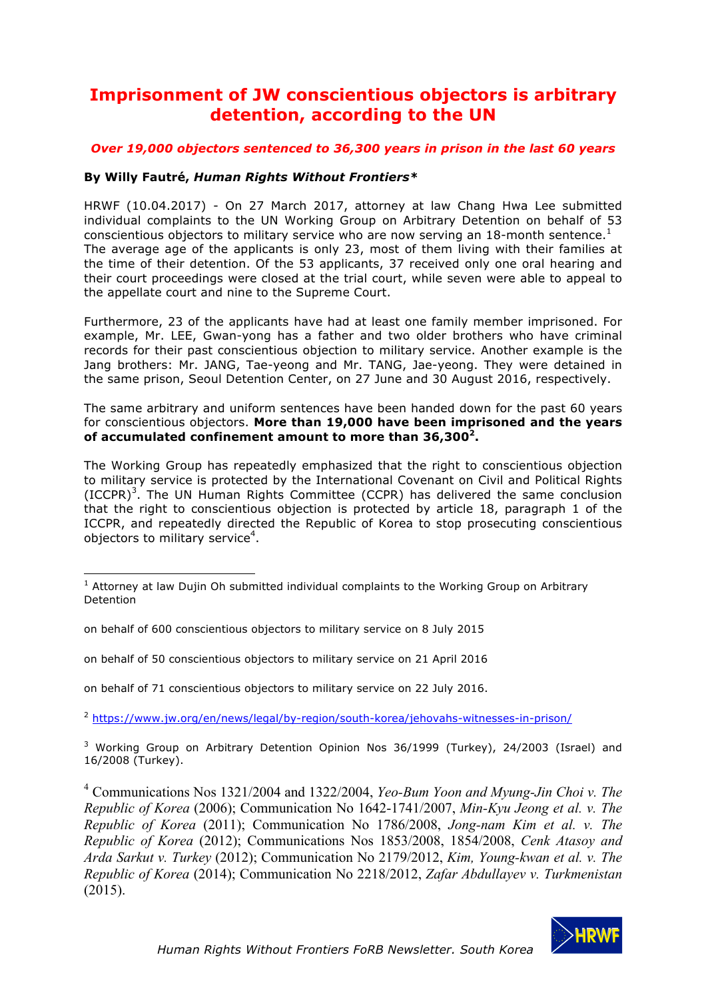# **Imprisonment of JW conscientious objectors is arbitrary detention, according to the UN**

## *Over 19,000 objectors sentenced to 36,300 years in prison in the last 60 years*

## **By Willy Fautré,** *Human Rights Without Frontiers\**

HRWF (10.04.2017) - On 27 March 2017, attorney at law Chang Hwa Lee submitted individual complaints to the UN Working Group on Arbitrary Detention on behalf of 53 conscientious objectors to military service who are now serving an  $18$ -month sentence.<sup>1</sup> The average age of the applicants is only 23, most of them living with their families at the time of their detention. Of the 53 applicants, 37 received only one oral hearing and their court proceedings were closed at the trial court, while seven were able to appeal to the appellate court and nine to the Supreme Court.

Furthermore, 23 of the applicants have had at least one family member imprisoned. For example, Mr. LEE, Gwan-yong has a father and two older brothers who have criminal records for their past conscientious objection to military service. Another example is the Jang brothers: Mr. JANG, Tae-yeong and Mr. TANG, Jae-yeong. They were detained in the same prison, Seoul Detention Center, on 27 June and 30 August 2016, respectively.

The same arbitrary and uniform sentences have been handed down for the past 60 years for conscientious objectors. **More than 19,000 have been imprisoned and the years of accumulated confinement amount to more than 36,3002.**

The Working Group has repeatedly emphasized that the right to conscientious objection to military service is protected by the International Covenant on Civil and Political Rights (ICCPR)<sup>3</sup>. The UN Human Rights Committee (CCPR) has delivered the same conclusion that the right to conscientious objection is protected by article 18, paragraph 1 of the ICCPR, and repeatedly directed the Republic of Korea to stop prosecuting conscientious objectors to military service<sup>4</sup>.

on behalf of 600 conscientious objectors to military service on 8 July 2015

on behalf of 50 conscientious objectors to military service on 21 April 2016

on behalf of 71 conscientious objectors to military service on 22 July 2016.

<sup>2</sup> https://www.jw.org/en/news/legal/by-region/south-korea/jehovahs-witnesses-in-prison/

 $3$  Working Group on Arbitrary Detention Opinion Nos 36/1999 (Turkey), 24/2003 (Israel) and 16/2008 (Turkey).

<sup>4</sup> Communications Nos 1321/2004 and 1322/2004, *Yeo-Bum Yoon and Myung-Jin Choi v. The Republic of Korea* (2006); Communication No 1642-1741/2007, *Min-Kyu Jeong et al. v. The Republic of Korea* (2011); Communication No 1786/2008, *Jong-nam Kim et al. v. The Republic of Korea* (2012); Communications Nos 1853/2008, 1854/2008, *Cenk Atasoy and Arda Sarkut v. Turkey* (2012); Communication No 2179/2012, *Kim, Young-kwan et al. v. The Republic of Korea* (2014); Communication No 2218/2012, *Zafar Abdullayev v. Turkmenistan* (2015).



 $1$  Attorney at law Dujin Oh submitted individual complaints to the Working Group on Arbitrary Detention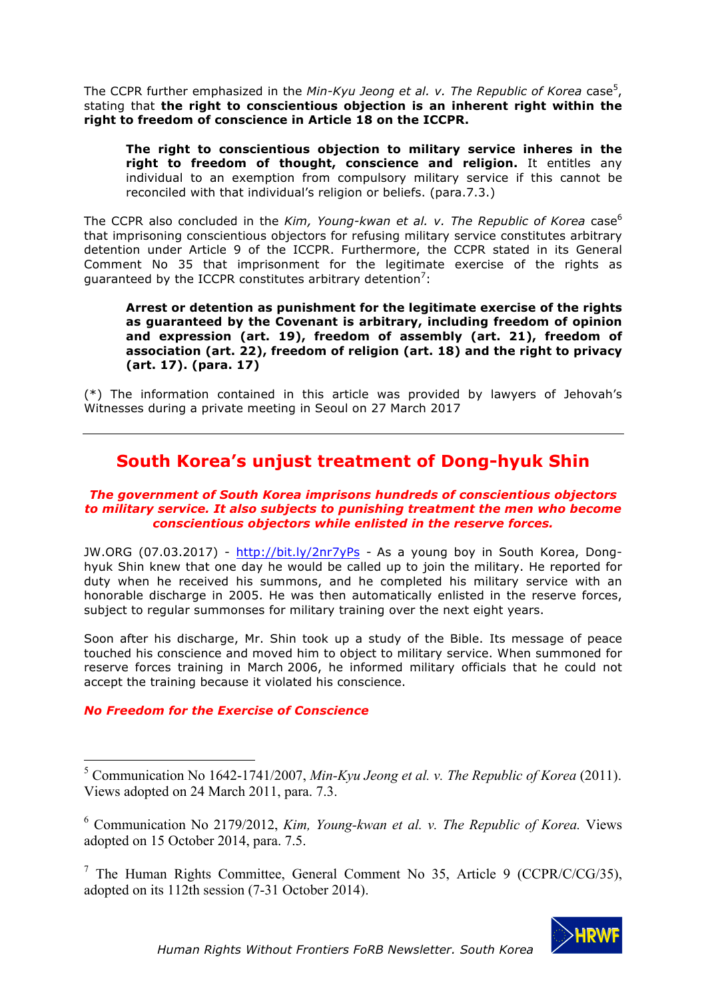The CCPR further emphasized in the Min-Kyu Jeong et al. v. The Republic of Korea case<sup>5</sup>, stating that **the right to conscientious objection is an inherent right within the right to freedom of conscience in Article 18 on the ICCPR.**

**The right to conscientious objection to military service inheres in the right to freedom of thought, conscience and religion.** It entitles any individual to an exemption from compulsory military service if this cannot be reconciled with that individual's religion or beliefs. (para.7.3.)

The CCPR also concluded in the *Kim, Young-kwan et al. v. The Republic of Korea* case<sup>6</sup> that imprisoning conscientious objectors for refusing military service constitutes arbitrary detention under Article 9 of the ICCPR. Furthermore, the CCPR stated in its General Comment No 35 that imprisonment for the legitimate exercise of the rights as guaranteed by the ICCPR constitutes arbitrary detention<sup>7</sup>:

**Arrest or detention as punishment for the legitimate exercise of the rights as guaranteed by the Covenant is arbitrary, including freedom of opinion and expression (art. 19), freedom of assembly (art. 21), freedom of association (art. 22), freedom of religion (art. 18) and the right to privacy (art. 17). (para. 17)**

(\*) The information contained in this article was provided by lawyers of Jehovah's Witnesses during a private meeting in Seoul on 27 March 2017

# **South Korea's unjust treatment of Dong-hyuk Shin**

#### *The government of South Korea imprisons hundreds of conscientious objectors to military service. It also subjects to punishing treatment the men who become conscientious objectors while enlisted in the reserve forces.*

JW.ORG (07.03.2017) - http://bit.ly/2nr7yPs - As a young boy in South Korea, Donghyuk Shin knew that one day he would be called up to join the military. He reported for duty when he received his summons, and he completed his military service with an honorable discharge in 2005. He was then automatically enlisted in the reserve forces, subject to regular summonses for military training over the next eight years.

Soon after his discharge, Mr. Shin took up a study of the Bible. Its message of peace touched his conscience and moved him to object to military service. When summoned for reserve forces training in March 2006, he informed military officials that he could not accept the training because it violated his conscience.

## *No Freedom for the Exercise of Conscience*

<sup>&</sup>lt;sup>7</sup> The Human Rights Committee, General Comment No 35, Article 9 (CCPR/C/CG/35), adopted on its 112th session (7-31 October 2014).



<sup>5</sup> Communication No 1642-1741/2007, *Min-Kyu Jeong et al. v. The Republic of Korea* (2011). Views adopted on 24 March 2011, para. 7.3.

<sup>6</sup> Communication No 2179/2012, *Kim, Young-kwan et al. v. The Republic of Korea.* Views adopted on 15 October 2014, para. 7.5.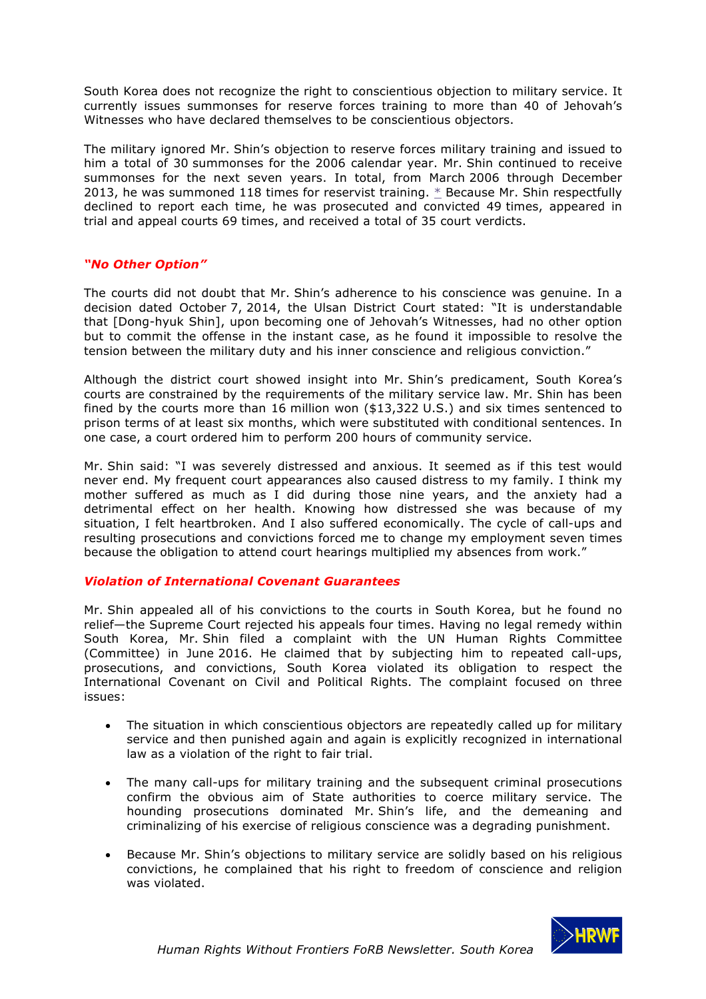South Korea does not recognize the right to conscientious objection to military service. It currently issues summonses for reserve forces training to more than 40 of Jehovah's Witnesses who have declared themselves to be conscientious objectors.

The military ignored Mr. Shin's objection to reserve forces military training and issued to him a total of 30 summonses for the 2006 calendar year. Mr. Shin continued to receive summonses for the next seven years. In total, from March 2006 through December 2013, he was summoned 118 times for reservist training. \* Because Mr. Shin respectfully declined to report each time, he was prosecuted and convicted 49 times, appeared in trial and appeal courts 69 times, and received a total of 35 court verdicts.

## *"No Other Option"*

The courts did not doubt that Mr. Shin's adherence to his conscience was genuine. In a decision dated October 7, 2014, the Ulsan District Court stated: "It is understandable that [Dong-hyuk Shin], upon becoming one of Jehovah's Witnesses, had no other option but to commit the offense in the instant case, as he found it impossible to resolve the tension between the military duty and his inner conscience and religious conviction."

Although the district court showed insight into Mr. Shin's predicament, South Korea's courts are constrained by the requirements of the military service law. Mr. Shin has been fined by the courts more than 16 million won (\$13,322 U.S.) and six times sentenced to prison terms of at least six months, which were substituted with conditional sentences. In one case, a court ordered him to perform 200 hours of community service.

Mr. Shin said: "I was severely distressed and anxious. It seemed as if this test would never end. My frequent court appearances also caused distress to my family. I think my mother suffered as much as I did during those nine years, and the anxiety had a detrimental effect on her health. Knowing how distressed she was because of my situation, I felt heartbroken. And I also suffered economically. The cycle of call-ups and resulting prosecutions and convictions forced me to change my employment seven times because the obligation to attend court hearings multiplied my absences from work."

## *Violation of International Covenant Guarantees*

Mr. Shin appealed all of his convictions to the courts in South Korea, but he found no relief—the Supreme Court rejected his appeals four times. Having no legal remedy within South Korea, Mr. Shin filed a complaint with the UN Human Rights Committee (Committee) in June 2016. He claimed that by subjecting him to repeated call-ups, prosecutions, and convictions, South Korea violated its obligation to respect the International Covenant on Civil and Political Rights. The complaint focused on three issues:

- The situation in which conscientious objectors are repeatedly called up for military service and then punished again and again is explicitly recognized in international law as a violation of the right to fair trial.
- The many call-ups for military training and the subsequent criminal prosecutions confirm the obvious aim of State authorities to coerce military service. The hounding prosecutions dominated Mr. Shin's life, and the demeaning and criminalizing of his exercise of religious conscience was a degrading punishment.
- Because Mr. Shin's objections to military service are solidly based on his religious convictions, he complained that his right to freedom of conscience and religion was violated.

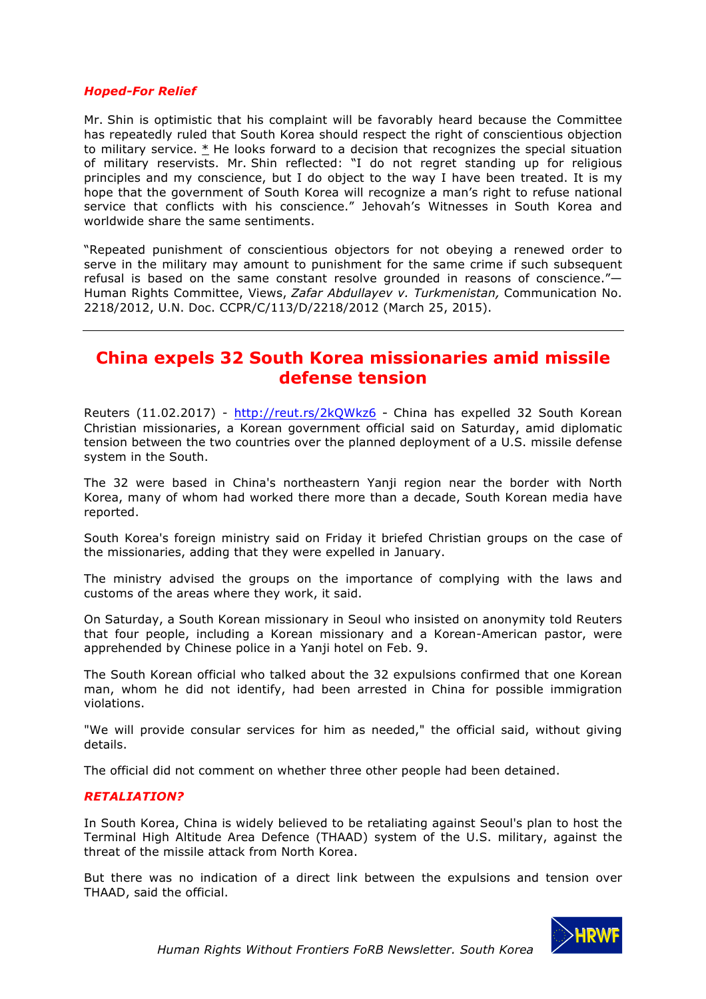#### *Hoped-For Relief*

Mr. Shin is optimistic that his complaint will be favorably heard because the Committee has repeatedly ruled that South Korea should respect the right of conscientious objection to military service.  $*$  He looks forward to a decision that recognizes the special situation of military reservists. Mr. Shin reflected: "I do not regret standing up for religious principles and my conscience, but I do object to the way I have been treated. It is my hope that the government of South Korea will recognize a man's right to refuse national service that conflicts with his conscience." Jehovah's Witnesses in South Korea and worldwide share the same sentiments.

"Repeated punishment of conscientious objectors for not obeying a renewed order to serve in the military may amount to punishment for the same crime if such subsequent refusal is based on the same constant resolve grounded in reasons of conscience."— Human Rights Committee, Views, *Zafar Abdullayev v. Turkmenistan,* Communication No. 2218/2012, U.N. Doc. CCPR/C/113/D/2218/2012 (March 25, 2015).

# **China expels 32 South Korea missionaries amid missile defense tension**

Reuters (11.02.2017) - http://reut.rs/2kQWkz6 - China has expelled 32 South Korean Christian missionaries, a Korean government official said on Saturday, amid diplomatic tension between the two countries over the planned deployment of a U.S. missile defense system in the South.

The 32 were based in China's northeastern Yanji region near the border with North Korea, many of whom had worked there more than a decade, South Korean media have reported.

South Korea's foreign ministry said on Friday it briefed Christian groups on the case of the missionaries, adding that they were expelled in January.

The ministry advised the groups on the importance of complying with the laws and customs of the areas where they work, it said.

On Saturday, a South Korean missionary in Seoul who insisted on anonymity told Reuters that four people, including a Korean missionary and a Korean-American pastor, were apprehended by Chinese police in a Yanji hotel on Feb. 9.

The South Korean official who talked about the 32 expulsions confirmed that one Korean man, whom he did not identify, had been arrested in China for possible immigration violations.

"We will provide consular services for him as needed," the official said, without giving details.

The official did not comment on whether three other people had been detained.

#### *RETALIATION?*

In South Korea, China is widely believed to be retaliating against Seoul's plan to host the Terminal High Altitude Area Defence (THAAD) system of the U.S. military, against the threat of the missile attack from North Korea.

But there was no indication of a direct link between the expulsions and tension over THAAD, said the official.

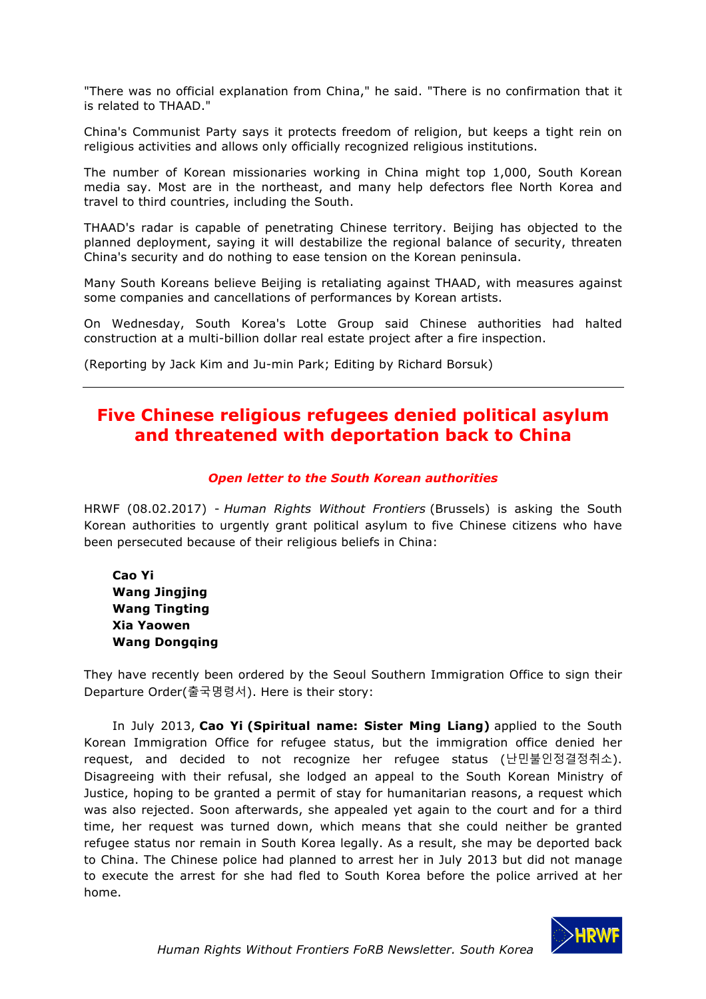"There was no official explanation from China," he said. "There is no confirmation that it is related to THAAD."

China's Communist Party says it protects freedom of religion, but keeps a tight rein on religious activities and allows only officially recognized religious institutions.

The number of Korean missionaries working in China might top 1,000, South Korean media say. Most are in the northeast, and many help defectors flee North Korea and travel to third countries, including the South.

THAAD's radar is capable of penetrating Chinese territory. Beijing has objected to the planned deployment, saying it will destabilize the regional balance of security, threaten China's security and do nothing to ease tension on the Korean peninsula.

Many South Koreans believe Beijing is retaliating against THAAD, with measures against some companies and cancellations of performances by Korean artists.

On Wednesday, South Korea's Lotte Group said Chinese authorities had halted construction at a multi-billion dollar real estate project after a fire inspection.

(Reporting by Jack Kim and Ju-min Park; Editing by Richard Borsuk)

# **Five Chinese religious refugees denied political asylum and threatened with deportation back to China**

#### *Open letter to the South Korean authorities*

HRWF (08.02.2017) - *Human Rights Without Frontiers* (Brussels) is asking the South Korean authorities to urgently grant political asylum to five Chinese citizens who have been persecuted because of their religious beliefs in China:

# **Cao Yi Wang Jingjing Wang Tingting Xia Yaowen Wang Dongqing**

They have recently been ordered by the Seoul Southern Immigration Office to sign their Departure Order(출국명령서). Here is their story:

In July 2013, **Cao Yi (Spiritual name: Sister Ming Liang)** applied to the South Korean Immigration Office for refugee status, but the immigration office denied her request, and decided to not recognize her refugee status (난민불인정결정취소). Disagreeing with their refusal, she lodged an appeal to the South Korean Ministry of Justice, hoping to be granted a permit of stay for humanitarian reasons, a request which was also rejected. Soon afterwards, she appealed yet again to the court and for a third time, her request was turned down, which means that she could neither be granted refugee status nor remain in South Korea legally. As a result, she may be deported back to China. The Chinese police had planned to arrest her in July 2013 but did not manage to execute the arrest for she had fled to South Korea before the police arrived at her home.

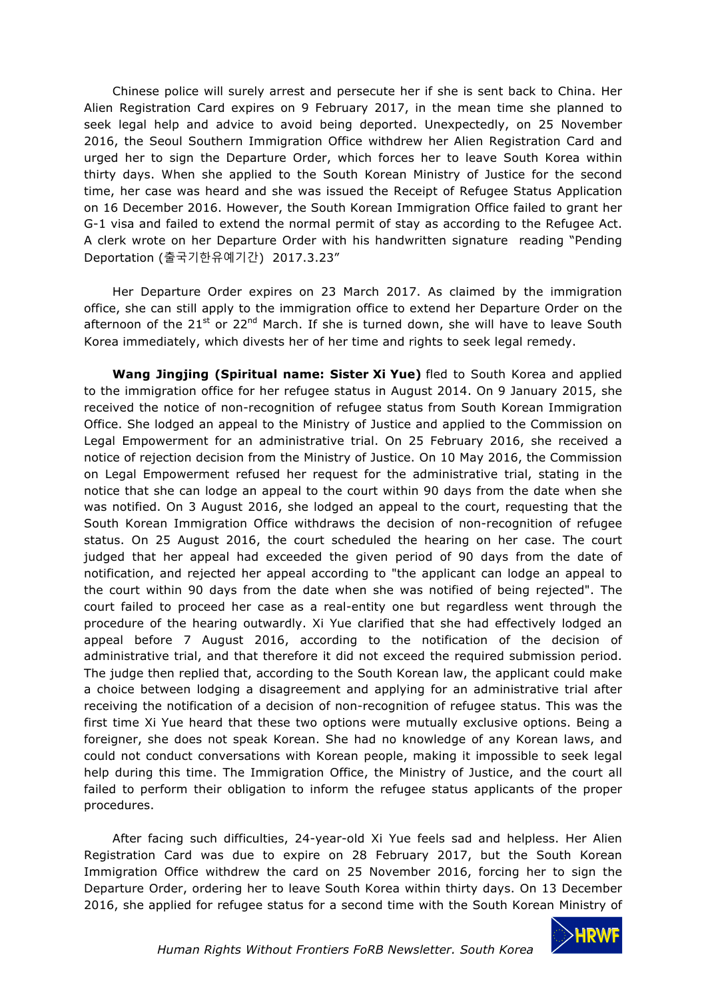Chinese police will surely arrest and persecute her if she is sent back to China. Her Alien Registration Card expires on 9 February 2017, in the mean time she planned to seek legal help and advice to avoid being deported. Unexpectedly, on 25 November 2016, the Seoul Southern Immigration Office withdrew her Alien Registration Card and urged her to sign the Departure Order, which forces her to leave South Korea within thirty days. When she applied to the South Korean Ministry of Justice for the second time, her case was heard and she was issued the Receipt of Refugee Status Application on 16 December 2016. However, the South Korean Immigration Office failed to grant her G-1 visa and failed to extend the normal permit of stay as according to the Refugee Act. A clerk wrote on her Departure Order with his handwritten signature reading "Pending Deportation (출국기한유예기간) 2017.3.23"

Her Departure Order expires on 23 March 2017. As claimed by the immigration office, she can still apply to the immigration office to extend her Departure Order on the afternoon of the  $21^{st}$  or  $22^{nd}$  March. If she is turned down, she will have to leave South Korea immediately, which divests her of her time and rights to seek legal remedy.

**Wang Jingjing (Spiritual name: Sister Xi Yue)** fled to South Korea and applied to the immigration office for her refugee status in August 2014. On 9 January 2015, she received the notice of non-recognition of refugee status from South Korean Immigration Office. She lodged an appeal to the Ministry of Justice and applied to the Commission on Legal Empowerment for an administrative trial. On 25 February 2016, she received a notice of rejection decision from the Ministry of Justice. On 10 May 2016, the Commission on Legal Empowerment refused her request for the administrative trial, stating in the notice that she can lodge an appeal to the court within 90 days from the date when she was notified. On 3 August 2016, she lodged an appeal to the court, requesting that the South Korean Immigration Office withdraws the decision of non-recognition of refugee status. On 25 August 2016, the court scheduled the hearing on her case. The court judged that her appeal had exceeded the given period of 90 days from the date of notification, and rejected her appeal according to "the applicant can lodge an appeal to the court within 90 days from the date when she was notified of being rejected". The court failed to proceed her case as a real-entity one but regardless went through the procedure of the hearing outwardly. Xi Yue clarified that she had effectively lodged an appeal before 7 August 2016, according to the notification of the decision of administrative trial, and that therefore it did not exceed the required submission period. The judge then replied that, according to the South Korean law, the applicant could make a choice between lodging a disagreement and applying for an administrative trial after receiving the notification of a decision of non-recognition of refugee status. This was the first time Xi Yue heard that these two options were mutually exclusive options. Being a foreigner, she does not speak Korean. She had no knowledge of any Korean laws, and could not conduct conversations with Korean people, making it impossible to seek legal help during this time. The Immigration Office, the Ministry of Justice, and the court all failed to perform their obligation to inform the refugee status applicants of the proper procedures.

After facing such difficulties, 24-year-old Xi Yue feels sad and helpless. Her Alien Registration Card was due to expire on 28 February 2017, but the South Korean Immigration Office withdrew the card on 25 November 2016, forcing her to sign the Departure Order, ordering her to leave South Korea within thirty days. On 13 December 2016, she applied for refugee status for a second time with the South Korean Ministry of

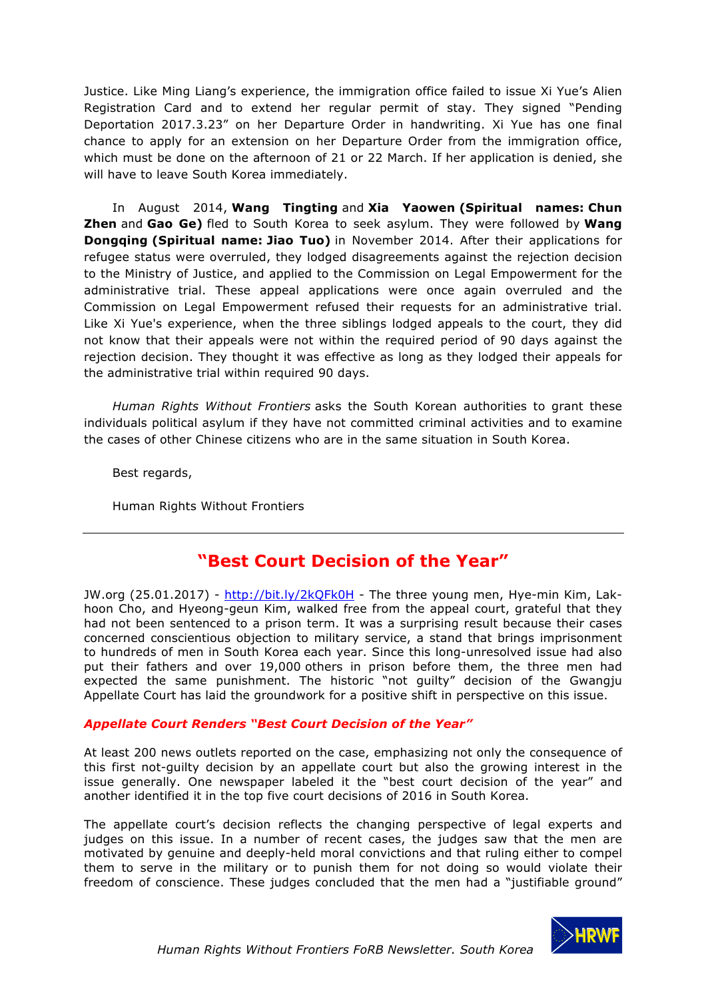Justice. Like Ming Liang's experience, the immigration office failed to issue Xi Yue's Alien Registration Card and to extend her regular permit of stay. They signed "Pending Deportation 2017.3.23" on her Departure Order in handwriting. Xi Yue has one final chance to apply for an extension on her Departure Order from the immigration office, which must be done on the afternoon of 21 or 22 March. If her application is denied, she will have to leave South Korea immediately.

In August 2014, **Wang Tingting** and **Xia Yaowen (Spiritual names: Chun Zhen** and **Gao Ge)** fled to South Korea to seek asylum. They were followed by **Wang Dongqing (Spiritual name: Jiao Tuo)** in November 2014. After their applications for refugee status were overruled, they lodged disagreements against the rejection decision to the Ministry of Justice, and applied to the Commission on Legal Empowerment for the administrative trial. These appeal applications were once again overruled and the Commission on Legal Empowerment refused their requests for an administrative trial. Like Xi Yue's experience, when the three siblings lodged appeals to the court, they did not know that their appeals were not within the required period of 90 days against the rejection decision. They thought it was effective as long as they lodged their appeals for the administrative trial within required 90 days.

*Human Rights Without Frontiers* asks the South Korean authorities to grant these individuals political asylum if they have not committed criminal activities and to examine the cases of other Chinese citizens who are in the same situation in South Korea.

Best regards,

Human Rights Without Frontiers

# **"Best Court Decision of the Year"**

JW.org (25.01.2017) - http://bit.ly/2kQFk0H - The three young men, Hye-min Kim, Lakhoon Cho, and Hyeong-geun Kim, walked free from the appeal court, grateful that they had not been sentenced to a prison term. It was a surprising result because their cases concerned conscientious objection to military service, a stand that brings imprisonment to hundreds of men in South Korea each year. Since this long-unresolved issue had also put their fathers and over 19,000 others in prison before them, the three men had expected the same punishment. The historic "not guilty" decision of the Gwangju Appellate Court has laid the groundwork for a positive shift in perspective on this issue.

#### *Appellate Court Renders "Best Court Decision of the Year"*

At least 200 news outlets reported on the case, emphasizing not only the consequence of this first not-guilty decision by an appellate court but also the growing interest in the issue generally. One newspaper labeled it the "best court decision of the year" and another identified it in the top five court decisions of 2016 in South Korea.

The appellate court's decision reflects the changing perspective of legal experts and judges on this issue. In a number of recent cases, the judges saw that the men are motivated by genuine and deeply-held moral convictions and that ruling either to compel them to serve in the military or to punish them for not doing so would violate their freedom of conscience. These judges concluded that the men had a "justifiable ground"